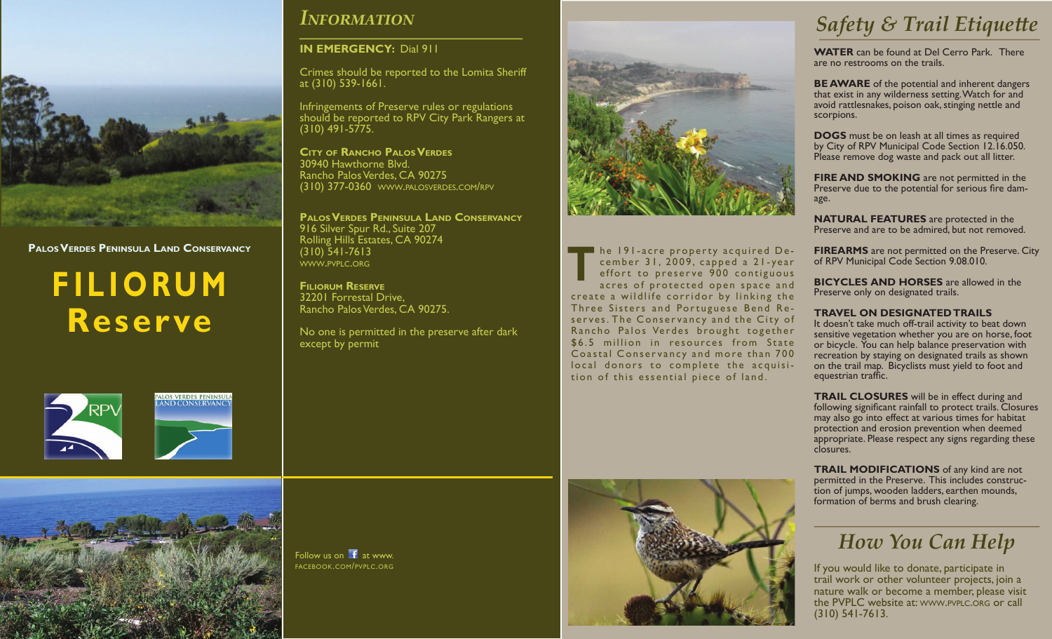

**Palos Verdes Peninsula Land Conservancy**

# **filiorum Reserve**





### *Information*

#### **IN EMERGENCY:** Dial 911

Crimes should be reported to the Lomita Sheriff at (310) 539-1661.

Infringements of Preserve rules or regulations should be reported to RPV City Park Rangers at (310) 491-5775.

**City of Rancho Palos Verdes** 30940 Hawthorne Blvd. Rancho Palos Verdes, CA 90275 (310) 377-0360 www.palosverdes.com/rpv

**Palos Verdes Peninsula Land Conservancy** 916 Silver Spur Rd., Suite 207 Rolling Hills Estates, CA 90274 (310) 541-7613 www.pvplc.org

### **Filiorum Reserve**

Follow us on  $\mathbf{f}$  at www. facebook.com/pvplc.org

32201 Forrestal Drive, Rancho Palos Verdes, CA 90275.

No one is permitted in the preserve after dark except by permit



he 191-acre property acquired December 31, 2009, capped a 21-year effort to preserve 900 contiguous acres of protected open space and create a wildlife corridor by linking the Three Sisters and Portuguese Bend Re serves. The Conservancy and the City of Rancho Palos Verdes brought together \$6.5 million in resources from State Coastal Conservancy and more than 700 local donors to complete the acquisition of this essential piece of land. **T**



**WATER** can be found at Del Cerro Park. There are no restrooms on the trails.

**BE AWARE** of the potential and inherent dangers that exist in any wilderness setting. Watch for and avoid rattlesnakes, poison oak, stinging nettle and scorpions.

**DOGS** must be on leash at all times as required by City of RPV Municipal Code Section 12.16.050. Please remove dog waste and pack out all litter.

**FIRE AND SMOKING** are not permitted in the Preserve due to the potential for serious fire dam- age.

**NATURAL FEATURES** are protected in the Preserve and are to be admired, but not removed.

**FIREARMS** are not permitted on the Preserve. City of RPV Municipal Code Section 9.08.010.

**BICYCLES AND HORSES** are allowed in the Preserve only on designated trails.

#### **TRAVEL ON DESIGNATED TRAILS**

It doesn't take much off-trail activity to beat down sensitive vegetation whether you are on horse, foot or bicycle. You can help balance preservation with recreation by staying on designated trails as shown on the trail map. Bicyclists must yield to foot and equestrian traffic.

**TRAIL CLOSURES** will be in effect during and following significant rainfall to protect trails. Closures may also go into effect at various times for habitat protection and erosion prevention when deemed appropriate. Please respect any signs regarding these closures.

**TRAIL MODIFICATIONS** of any kind are not permitted in the Preserve. This includes construction of jumps, wooden ladders, earthen mounds, formation of berms and brush clearing.

### *How You Can Help*

If you would like to donate, participate in trail work or other volunteer projects, join a nature walk or become a member, please visit the PVPLC website at: www.pvplc.org or call (310) 541-7613.